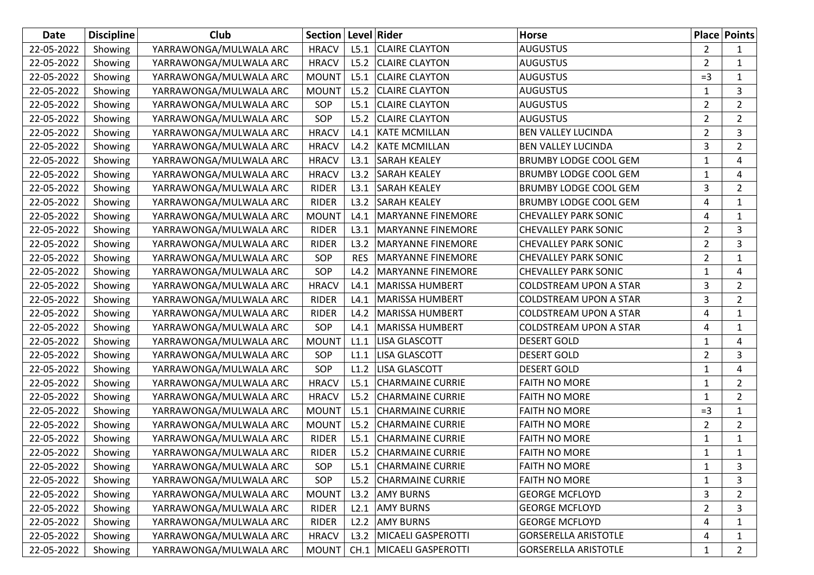| Date       | <b>Discipline</b> | Club                   | Section   Level   Rider |            |                          | Horse                         |                | <b>Place Points</b> |
|------------|-------------------|------------------------|-------------------------|------------|--------------------------|-------------------------------|----------------|---------------------|
| 22-05-2022 | Showing           | YARRAWONGA/MULWALA ARC | <b>HRACV</b>            | L5.1       | <b>CLAIRE CLAYTON</b>    | AUGUSTUS                      | $\overline{2}$ | 1                   |
| 22-05-2022 | Showing           | YARRAWONGA/MULWALA ARC | <b>HRACV</b>            | L5.2       | <b>CLAIRE CLAYTON</b>    | <b>AUGUSTUS</b>               | $\overline{2}$ | $\mathbf{1}$        |
| 22-05-2022 | Showing           | YARRAWONGA/MULWALA ARC | <b>MOUNT</b>            | L5.1       | <b>CLAIRE CLAYTON</b>    | <b>AUGUSTUS</b>               | $=3$           | $\mathbf{1}$        |
| 22-05-2022 | Showing           | YARRAWONGA/MULWALA ARC | <b>MOUNT</b>            | L5.2       | <b>CLAIRE CLAYTON</b>    | <b>AUGUSTUS</b>               | $\mathbf{1}$   | 3                   |
| 22-05-2022 | Showing           | YARRAWONGA/MULWALA ARC | SOP                     | L5.1       | <b>CLAIRE CLAYTON</b>    | <b>AUGUSTUS</b>               | $\overline{2}$ | $\overline{2}$      |
| 22-05-2022 | Showing           | YARRAWONGA/MULWALA ARC | SOP                     | L5.2       | <b>CLAIRE CLAYTON</b>    | <b>AUGUSTUS</b>               | $\overline{2}$ | $\overline{2}$      |
| 22-05-2022 | Showing           | YARRAWONGA/MULWALA ARC | <b>HRACV</b>            | L4.1       | <b>KATE MCMILLAN</b>     | <b>BEN VALLEY LUCINDA</b>     | $\overline{2}$ | 3                   |
| 22-05-2022 | Showing           | YARRAWONGA/MULWALA ARC | <b>HRACV</b>            | L4.2       | <b>KATE MCMILLAN</b>     | <b>BEN VALLEY LUCINDA</b>     | 3              | $\overline{2}$      |
| 22-05-2022 | Showing           | YARRAWONGA/MULWALA ARC | <b>HRACV</b>            | L3.1       | <b>SARAH KEALEY</b>      | <b>BRUMBY LODGE COOL GEM</b>  | $\mathbf{1}$   | 4                   |
| 22-05-2022 | Showing           | YARRAWONGA/MULWALA ARC | <b>HRACV</b>            | L3.2       | <b>SARAH KEALEY</b>      | <b>BRUMBY LODGE COOL GEM</b>  | 1              | 4                   |
| 22-05-2022 | Showing           | YARRAWONGA/MULWALA ARC | <b>RIDER</b>            | L3.1       | <b>SARAH KEALEY</b>      | <b>BRUMBY LODGE COOL GEM</b>  | 3              | $\overline{2}$      |
| 22-05-2022 | Showing           | YARRAWONGA/MULWALA ARC | <b>RIDER</b>            | L3.2       | <b>SARAH KEALEY</b>      | <b>BRUMBY LODGE COOL GEM</b>  | 4              | $\mathbf{1}$        |
| 22-05-2022 | Showing           | YARRAWONGA/MULWALA ARC | <b>MOUNT</b>            | L4.1       | MARYANNE FINEMORE        | <b>CHEVALLEY PARK SONIC</b>   | 4              | $\mathbf{1}$        |
| 22-05-2022 | Showing           | YARRAWONGA/MULWALA ARC | <b>RIDER</b>            | L3.1       | MARYANNE FINEMORE        | <b>CHEVALLEY PARK SONIC</b>   | $\overline{2}$ | 3                   |
| 22-05-2022 | Showing           | YARRAWONGA/MULWALA ARC | <b>RIDER</b>            | L3.2       | <b>MARYANNE FINEMORE</b> | <b>CHEVALLEY PARK SONIC</b>   | $\overline{2}$ | 3                   |
| 22-05-2022 | Showing           | YARRAWONGA/MULWALA ARC | SOP                     | <b>RES</b> | <b>MARYANNE FINEMORE</b> | <b>CHEVALLEY PARK SONIC</b>   | $\overline{2}$ | $\mathbf{1}$        |
| 22-05-2022 | Showing           | YARRAWONGA/MULWALA ARC | SOP                     | L4.2       | <b>MARYANNE FINEMORE</b> | <b>CHEVALLEY PARK SONIC</b>   | 1              | 4                   |
| 22-05-2022 | Showing           | YARRAWONGA/MULWALA ARC | <b>HRACV</b>            | L4.1       | MARISSA HUMBERT          | <b>COLDSTREAM UPON A STAR</b> | 3              | $\overline{2}$      |
| 22-05-2022 | Showing           | YARRAWONGA/MULWALA ARC | <b>RIDER</b>            | L4.1       | <b>MARISSA HUMBERT</b>   | <b>COLDSTREAM UPON A STAR</b> | 3              | $\overline{2}$      |
| 22-05-2022 | Showing           | YARRAWONGA/MULWALA ARC | <b>RIDER</b>            | L4.2       | MARISSA HUMBERT          | <b>COLDSTREAM UPON A STAR</b> | 4              | 1                   |
| 22-05-2022 | Showing           | YARRAWONGA/MULWALA ARC | SOP                     | L4.1       | MARISSA HUMBERT          | <b>COLDSTREAM UPON A STAR</b> | 4              | $\mathbf{1}$        |
| 22-05-2022 | Showing           | YARRAWONGA/MULWALA ARC | <b>MOUNT</b>            | L1.1       | <b>LISA GLASCOTT</b>     | <b>DESERT GOLD</b>            | 1              | 4                   |
| 22-05-2022 | Showing           | YARRAWONGA/MULWALA ARC | SOP                     | L1.1       | <b>LISA GLASCOTT</b>     | <b>DESERT GOLD</b>            | $\overline{2}$ | 3                   |
| 22-05-2022 | Showing           | YARRAWONGA/MULWALA ARC | SOP                     | L1.2       | <b>LISA GLASCOTT</b>     | <b>DESERT GOLD</b>            | $\mathbf{1}$   | 4                   |
| 22-05-2022 | Showing           | YARRAWONGA/MULWALA ARC | <b>HRACV</b>            | L5.1       | <b>CHARMAINE CURRIE</b>  | <b>FAITH NO MORE</b>          | 1              | 2                   |
| 22-05-2022 | Showing           | YARRAWONGA/MULWALA ARC | <b>HRACV</b>            | L5.2       | <b>CHARMAINE CURRIE</b>  | <b>FAITH NO MORE</b>          | 1              | $\overline{2}$      |
| 22-05-2022 | Showing           | YARRAWONGA/MULWALA ARC | <b>MOUNT</b>            | L5.1       | <b>CHARMAINE CURRIE</b>  | <b>FAITH NO MORE</b>          | $=3$           | $\mathbf{1}$        |
| 22-05-2022 | Showing           | YARRAWONGA/MULWALA ARC | <b>MOUNT</b>            | L5.2       | <b>CHARMAINE CURRIE</b>  | <b>FAITH NO MORE</b>          | $\overline{2}$ | $\overline{2}$      |
| 22-05-2022 | Showing           | YARRAWONGA/MULWALA ARC | <b>RIDER</b>            | L5.1       | <b>CHARMAINE CURRIE</b>  | <b>FAITH NO MORE</b>          | $\mathbf{1}$   | $\mathbf{1}$        |
| 22-05-2022 | Showing           | YARRAWONGA/MULWALA ARC | <b>RIDER</b>            | L5.2       | <b>CHARMAINE CURRIE</b>  | <b>FAITH NO MORE</b>          | 1              | $\mathbf{1}$        |
| 22-05-2022 | Showing           | YARRAWONGA/MULWALA ARC | SOP                     | L5.1       | <b>CHARMAINE CURRIE</b>  | <b>FAITH NO MORE</b>          | 1              | 3                   |
| 22-05-2022 | Showing           | YARRAWONGA/MULWALA ARC | SOP                     | L5.2       | <b>CHARMAINE CURRIE</b>  | <b>FAITH NO MORE</b>          | 1              | 3                   |
| 22-05-2022 | Showing           | YARRAWONGA/MULWALA ARC | <b>MOUNT</b>            | L3.2       | <b>AMY BURNS</b>         | <b>GEORGE MCFLOYD</b>         | 3              | $\overline{2}$      |
| 22-05-2022 | Showing           | YARRAWONGA/MULWALA ARC | <b>RIDER</b>            | L2.1       | <b>AMY BURNS</b>         | <b>GEORGE MCFLOYD</b>         | $\overline{2}$ | 3                   |
| 22-05-2022 | Showing           | YARRAWONGA/MULWALA ARC | <b>RIDER</b>            | L2.2       | <b>AMY BURNS</b>         | <b>GEORGE MCFLOYD</b>         | 4              | 1                   |
| 22-05-2022 | Showing           | YARRAWONGA/MULWALA ARC | <b>HRACV</b>            | L3.2       | MICAELI GASPEROTTI       | <b>GORSERELLA ARISTOTLE</b>   | 4              | 1                   |
| 22-05-2022 | Showing           | YARRAWONGA/MULWALA ARC | <b>MOUNT</b>            |            | CH.1 MICAELI GASPEROTTI  | <b>GORSERELLA ARISTOTLE</b>   | 1              | $\overline{2}$      |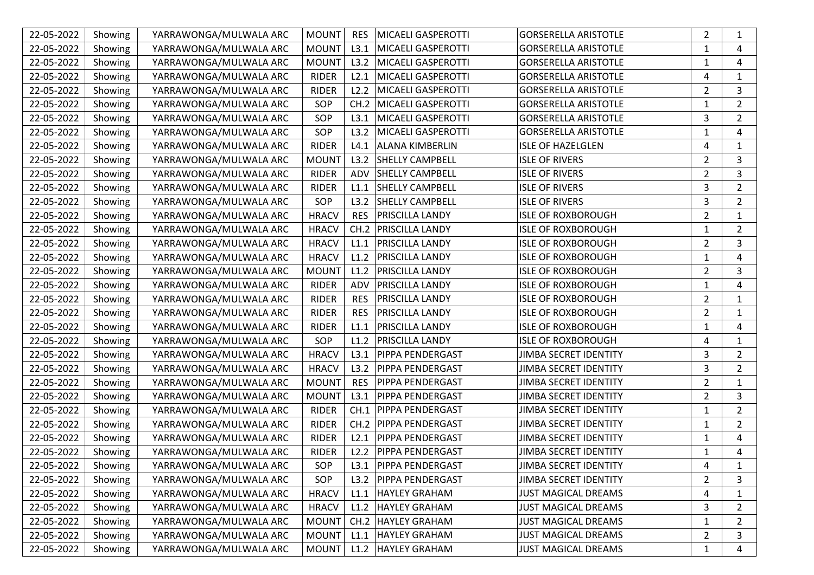| 22-05-2022 | Showing | YARRAWONGA/MULWALA ARC | <b>MOUNT</b> | <b>RES</b> | MICAELI GASPEROTTI        | <b>GORSERELLA ARISTOTLE</b>  | $\overline{2}$ | 1              |
|------------|---------|------------------------|--------------|------------|---------------------------|------------------------------|----------------|----------------|
| 22-05-2022 | Showing | YARRAWONGA/MULWALA ARC | <b>MOUNT</b> | L3.1       | MICAELI GASPEROTTI        | <b>GORSERELLA ARISTOTLE</b>  | 1              | 4              |
| 22-05-2022 | Showing | YARRAWONGA/MULWALA ARC | <b>MOUNT</b> | L3.2       | <b>MICAELI GASPEROTTI</b> | <b>GORSERELLA ARISTOTLE</b>  | $\mathbf{1}$   | 4              |
| 22-05-2022 | Showing | YARRAWONGA/MULWALA ARC | <b>RIDER</b> | L2.1       | MICAELI GASPEROTTI        | <b>GORSERELLA ARISTOTLE</b>  | 4              | 1              |
| 22-05-2022 | Showing | YARRAWONGA/MULWALA ARC | <b>RIDER</b> | L2.2       | MICAELI GASPEROTTI        | <b>GORSERELLA ARISTOTLE</b>  | $\overline{2}$ | 3              |
| 22-05-2022 | Showing | YARRAWONGA/MULWALA ARC | SOP          | CH.2       | <b>MICAELI GASPEROTTI</b> | <b>GORSERELLA ARISTOTLE</b>  | $\mathbf{1}$   | $\overline{2}$ |
| 22-05-2022 | Showing | YARRAWONGA/MULWALA ARC | SOP          | L3.1       | MICAELI GASPEROTTI        | <b>GORSERELLA ARISTOTLE</b>  | 3              | $\overline{2}$ |
| 22-05-2022 | Showing | YARRAWONGA/MULWALA ARC | SOP          | L3.2       | MICAELI GASPEROTTI        | <b>GORSERELLA ARISTOTLE</b>  | $\mathbf{1}$   | 4              |
| 22-05-2022 | Showing | YARRAWONGA/MULWALA ARC | <b>RIDER</b> | L4.1       | <b>ALANA KIMBERLIN</b>    | <b>ISLE OF HAZELGLEN</b>     | 4              | 1              |
| 22-05-2022 | Showing | YARRAWONGA/MULWALA ARC | <b>MOUNT</b> | L3.2       | <b>SHELLY CAMPBELL</b>    | <b>ISLE OF RIVERS</b>        | $\overline{2}$ | 3              |
| 22-05-2022 | Showing | YARRAWONGA/MULWALA ARC | <b>RIDER</b> | ADV        | <b>SHELLY CAMPBELL</b>    | <b>ISLE OF RIVERS</b>        | $\overline{2}$ | 3              |
| 22-05-2022 | Showing | YARRAWONGA/MULWALA ARC | <b>RIDER</b> | L1.1       | <b>SHELLY CAMPBELL</b>    | <b>ISLE OF RIVERS</b>        | 3              | $\overline{2}$ |
| 22-05-2022 | Showing | YARRAWONGA/MULWALA ARC | SOP          | L3.2       | <b>SHELLY CAMPBELL</b>    | <b>ISLE OF RIVERS</b>        | 3              | $\overline{2}$ |
| 22-05-2022 | Showing | YARRAWONGA/MULWALA ARC | <b>HRACV</b> | <b>RES</b> | PRISCILLA LANDY           | <b>ISLE OF ROXBOROUGH</b>    | $\overline{2}$ | 1              |
| 22-05-2022 | Showing | YARRAWONGA/MULWALA ARC | <b>HRACV</b> | CH.2       | <b>PRISCILLA LANDY</b>    | <b>ISLE OF ROXBOROUGH</b>    | 1              | $\overline{2}$ |
| 22-05-2022 | Showing | YARRAWONGA/MULWALA ARC | <b>HRACV</b> | L1.1       | PRISCILLA LANDY           | <b>ISLE OF ROXBOROUGH</b>    | $\overline{2}$ | 3              |
| 22-05-2022 | Showing | YARRAWONGA/MULWALA ARC | <b>HRACV</b> | L1.2       | <b>PRISCILLA LANDY</b>    | <b>ISLE OF ROXBOROUGH</b>    | 1              | 4              |
| 22-05-2022 | Showing | YARRAWONGA/MULWALA ARC | <b>MOUNT</b> | L1.2       | PRISCILLA LANDY           | <b>ISLE OF ROXBOROUGH</b>    | $\overline{2}$ | 3              |
| 22-05-2022 | Showing | YARRAWONGA/MULWALA ARC | <b>RIDER</b> | <b>ADV</b> | <b>PRISCILLA LANDY</b>    | <b>ISLE OF ROXBOROUGH</b>    | $\mathbf{1}$   | 4              |
| 22-05-2022 | Showing | YARRAWONGA/MULWALA ARC | <b>RIDER</b> | <b>RES</b> | PRISCILLA LANDY           | <b>ISLE OF ROXBOROUGH</b>    | $\overline{2}$ | 1              |
| 22-05-2022 | Showing | YARRAWONGA/MULWALA ARC | <b>RIDER</b> | <b>RES</b> | PRISCILLA LANDY           | <b>ISLE OF ROXBOROUGH</b>    | $\overline{2}$ | 1              |
| 22-05-2022 | Showing | YARRAWONGA/MULWALA ARC | <b>RIDER</b> | L1.1       | PRISCILLA LANDY           | <b>ISLE OF ROXBOROUGH</b>    | 1              | 4              |
| 22-05-2022 | Showing | YARRAWONGA/MULWALA ARC | SOP          | L1.2       | PRISCILLA LANDY           | <b>ISLE OF ROXBOROUGH</b>    | 4              | 1              |
| 22-05-2022 | Showing | YARRAWONGA/MULWALA ARC | <b>HRACV</b> | L3.1       | PIPPA PENDERGAST          | <b>JIMBA SECRET IDENTITY</b> | 3              | $\overline{2}$ |
| 22-05-2022 | Showing | YARRAWONGA/MULWALA ARC | <b>HRACV</b> | L3.2       | PIPPA PENDERGAST          | JIMBA SECRET IDENTITY        | 3              | $\overline{2}$ |
| 22-05-2022 | Showing | YARRAWONGA/MULWALA ARC | <b>MOUNT</b> | <b>RES</b> | PIPPA PENDERGAST          | <b>JIMBA SECRET IDENTITY</b> | $\overline{2}$ | $\mathbf{1}$   |
| 22-05-2022 | Showing | YARRAWONGA/MULWALA ARC | <b>MOUNT</b> | L3.1       | PIPPA PENDERGAST          | JIMBA SECRET IDENTITY        | $\overline{2}$ | 3              |
| 22-05-2022 | Showing | YARRAWONGA/MULWALA ARC | <b>RIDER</b> | CH.1       | <b>PIPPA PENDERGAST</b>   | <b>JIMBA SECRET IDENTITY</b> | 1              | $\overline{2}$ |
| 22-05-2022 | Showing | YARRAWONGA/MULWALA ARC | <b>RIDER</b> | CH.2       | PIPPA PENDERGAST          | JIMBA SECRET IDENTITY        | 1              | $\overline{2}$ |
| 22-05-2022 | Showing | YARRAWONGA/MULWALA ARC | <b>RIDER</b> | L2.1       | <b>PIPPA PENDERGAST</b>   | <b>JIMBA SECRET IDENTITY</b> | 1              | 4              |
| 22-05-2022 | Showing | YARRAWONGA/MULWALA ARC | <b>RIDER</b> | L2.2       | <b>PIPPA PENDERGAST</b>   | <b>JIMBA SECRET IDENTITY</b> | $\mathbf{1}$   | 4              |
| 22-05-2022 | Showing | YARRAWONGA/MULWALA ARC | SOP          |            | L3.1   PIPPA PENDERGAST   | JIMBA SECRET IDENTITY        | 4              | $\mathbf{1}$   |
| 22-05-2022 | Showing | YARRAWONGA/MULWALA ARC | SOP          | L3.2       | <b>PIPPA PENDERGAST</b>   | JIMBA SECRET IDENTITY        | 2              | 3              |
| 22-05-2022 | Showing | YARRAWONGA/MULWALA ARC | <b>HRACV</b> | L1.1       | <b>HAYLEY GRAHAM</b>      | <b>JUST MAGICAL DREAMS</b>   | 4              | 1              |
| 22-05-2022 | Showing | YARRAWONGA/MULWALA ARC | <b>HRACV</b> | L1.2       | <b>HAYLEY GRAHAM</b>      | <b>JUST MAGICAL DREAMS</b>   | 3              | 2              |
| 22-05-2022 | Showing | YARRAWONGA/MULWALA ARC | <b>MOUNT</b> | CH.2       | <b>HAYLEY GRAHAM</b>      | <b>JUST MAGICAL DREAMS</b>   | $\mathbf{1}$   | 2              |
| 22-05-2022 | Showing | YARRAWONGA/MULWALA ARC | MOUNT        | L1.1       | <b>HAYLEY GRAHAM</b>      | <b>JUST MAGICAL DREAMS</b>   | 2              | 3              |
| 22-05-2022 | Showing | YARRAWONGA/MULWALA ARC | MOUNT        |            | L1.2 HAYLEY GRAHAM        | <b>JUST MAGICAL DREAMS</b>   | 1              | 4              |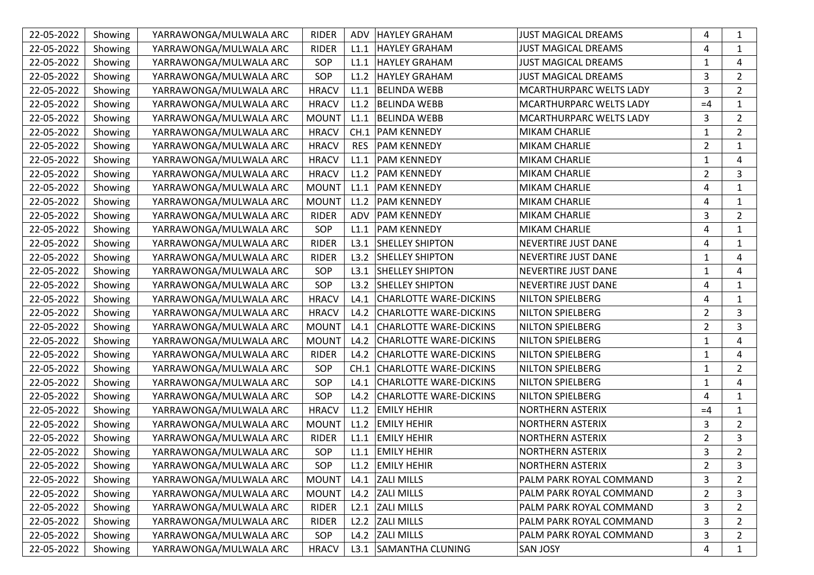| 22-05-2022 | Showing | YARRAWONGA/MULWALA ARC | <b>RIDER</b> | ADV        | <b>HAYLEY GRAHAM</b>          | <b>JUST MAGICAL DREAMS</b> | 4              | $\mathbf{1}$   |
|------------|---------|------------------------|--------------|------------|-------------------------------|----------------------------|----------------|----------------|
| 22-05-2022 | Showing | YARRAWONGA/MULWALA ARC | <b>RIDER</b> | L1.1       | <b>HAYLEY GRAHAM</b>          | <b>JUST MAGICAL DREAMS</b> | 4              | 1              |
| 22-05-2022 | Showing | YARRAWONGA/MULWALA ARC | SOP          | L1.1       | <b>HAYLEY GRAHAM</b>          | <b>JUST MAGICAL DREAMS</b> | $\mathbf{1}$   | 4              |
| 22-05-2022 | Showing | YARRAWONGA/MULWALA ARC | SOP          | L1.2       | <b>HAYLEY GRAHAM</b>          | <b>JUST MAGICAL DREAMS</b> | 3              | $\overline{2}$ |
| 22-05-2022 | Showing | YARRAWONGA/MULWALA ARC | <b>HRACV</b> | L1.1       | <b>BELINDA WEBB</b>           | MCARTHURPARC WELTS LADY    | 3              | $\overline{2}$ |
| 22-05-2022 | Showing | YARRAWONGA/MULWALA ARC | <b>HRACV</b> | L1.2       | <b>BELINDA WEBB</b>           | MCARTHURPARC WELTS LADY    | $=4$           | 1              |
| 22-05-2022 | Showing | YARRAWONGA/MULWALA ARC | <b>MOUNT</b> | L1.1       | <b>BELINDA WEBB</b>           | MCARTHURPARC WELTS LADY    | 3              | $\overline{2}$ |
| 22-05-2022 | Showing | YARRAWONGA/MULWALA ARC | <b>HRACV</b> | CH.1       | <b>PAM KENNEDY</b>            | MIKAM CHARLIE              | $\mathbf{1}$   | $\overline{2}$ |
| 22-05-2022 | Showing | YARRAWONGA/MULWALA ARC | <b>HRACV</b> | <b>RES</b> | <b>PAM KENNEDY</b>            | MIKAM CHARLIE              | $\overline{2}$ | 1              |
| 22-05-2022 | Showing | YARRAWONGA/MULWALA ARC | <b>HRACV</b> | L1.1       | <b>PAM KENNEDY</b>            | MIKAM CHARLIE              | $\mathbf{1}$   | 4              |
| 22-05-2022 | Showing | YARRAWONGA/MULWALA ARC | <b>HRACV</b> | L1.2       | <b>PAM KENNEDY</b>            | <b>MIKAM CHARLIE</b>       | $\overline{2}$ | 3              |
| 22-05-2022 | Showing | YARRAWONGA/MULWALA ARC | <b>MOUNT</b> | L1.1       | <b>PAM KENNEDY</b>            | MIKAM CHARLIE              | 4              | 1              |
| 22-05-2022 | Showing | YARRAWONGA/MULWALA ARC | <b>MOUNT</b> | L1.2       | <b>PAM KENNEDY</b>            | MIKAM CHARLIE              | 4              | $\mathbf{1}$   |
| 22-05-2022 | Showing | YARRAWONGA/MULWALA ARC | <b>RIDER</b> | ADV        | <b>PAM KENNEDY</b>            | MIKAM CHARLIE              | 3              | $\overline{2}$ |
| 22-05-2022 | Showing | YARRAWONGA/MULWALA ARC | SOP          | L1.1       | <b>PAM KENNEDY</b>            | <b>MIKAM CHARLIE</b>       | 4              | 1              |
| 22-05-2022 | Showing | YARRAWONGA/MULWALA ARC | <b>RIDER</b> | L3.1       | <b>SHELLEY SHIPTON</b>        | <b>NEVERTIRE JUST DANE</b> | 4              | 1              |
| 22-05-2022 | Showing | YARRAWONGA/MULWALA ARC | <b>RIDER</b> | L3.2       | <b>SHELLEY SHIPTON</b>        | NEVERTIRE JUST DANE        | 1              | 4              |
| 22-05-2022 | Showing | YARRAWONGA/MULWALA ARC | SOP          | L3.1       | <b>SHELLEY SHIPTON</b>        | NEVERTIRE JUST DANE        | 1              | 4              |
| 22-05-2022 | Showing | YARRAWONGA/MULWALA ARC | SOP          | L3.2       | <b>SHELLEY SHIPTON</b>        | NEVERTIRE JUST DANE        | 4              | 1              |
| 22-05-2022 | Showing | YARRAWONGA/MULWALA ARC | <b>HRACV</b> | L4.1       | <b>CHARLOTTE WARE-DICKINS</b> | <b>NILTON SPIELBERG</b>    | 4              | 1              |
| 22-05-2022 | Showing | YARRAWONGA/MULWALA ARC | <b>HRACV</b> | L4.2       | <b>CHARLOTTE WARE-DICKINS</b> | <b>NILTON SPIELBERG</b>    | $\overline{2}$ | 3              |
| 22-05-2022 | Showing | YARRAWONGA/MULWALA ARC | <b>MOUNT</b> | L4.1       | <b>CHARLOTTE WARE-DICKINS</b> | <b>NILTON SPIELBERG</b>    | $\overline{2}$ | 3              |
| 22-05-2022 | Showing | YARRAWONGA/MULWALA ARC | <b>MOUNT</b> | L4.2       | <b>CHARLOTTE WARE-DICKINS</b> | <b>NILTON SPIELBERG</b>    | 1              | 4              |
| 22-05-2022 | Showing | YARRAWONGA/MULWALA ARC | <b>RIDER</b> | L4.2       | <b>CHARLOTTE WARE-DICKINS</b> | NILTON SPIELBERG           | $\mathbf{1}$   | 4              |
| 22-05-2022 | Showing | YARRAWONGA/MULWALA ARC | SOP          | CH.1       | <b>CHARLOTTE WARE-DICKINS</b> | <b>NILTON SPIELBERG</b>    | $\mathbf{1}$   | $\overline{2}$ |
| 22-05-2022 | Showing | YARRAWONGA/MULWALA ARC | SOP          | L4.1       | <b>CHARLOTTE WARE-DICKINS</b> | <b>NILTON SPIELBERG</b>    | $\mathbf{1}$   | 4              |
| 22-05-2022 | Showing | YARRAWONGA/MULWALA ARC | SOP          | L4.2       | <b>CHARLOTTE WARE-DICKINS</b> | <b>NILTON SPIELBERG</b>    | 4              | 1              |
| 22-05-2022 | Showing | YARRAWONGA/MULWALA ARC | <b>HRACV</b> | L1.2       | <b>EMILY HEHIR</b>            | NORTHERN ASTERIX           | $=4$           | $\mathbf{1}$   |
| 22-05-2022 | Showing | YARRAWONGA/MULWALA ARC | <b>MOUNT</b> | L1.2       | <b>EMILY HEHIR</b>            | <b>NORTHERN ASTERIX</b>    | 3              | $\overline{2}$ |
| 22-05-2022 | Showing | YARRAWONGA/MULWALA ARC | <b>RIDER</b> | L1.1       | <b>EMILY HEHIR</b>            | <b>NORTHERN ASTERIX</b>    | $\overline{2}$ | 3              |
| 22-05-2022 | Showing | YARRAWONGA/MULWALA ARC | SOP          | L1.1       | <b>EMILY HEHIR</b>            | <b>NORTHERN ASTERIX</b>    | 3              | $\overline{2}$ |
| 22-05-2022 | Showing | YARRAWONGA/MULWALA ARC | SOP          |            | L1.2 EMILY HEHIR              | <b>NORTHERN ASTERIX</b>    | 2              | 3              |
| 22-05-2022 | Showing | YARRAWONGA/MULWALA ARC | <b>MOUNT</b> | L4.1       | <b>ZALI MILLS</b>             | PALM PARK ROYAL COMMAND    | 3              | 2              |
| 22-05-2022 | Showing | YARRAWONGA/MULWALA ARC | <b>MOUNT</b> |            | L4.2 ZALI MILLS               | PALM PARK ROYAL COMMAND    | $\overline{c}$ | 3              |
| 22-05-2022 | Showing | YARRAWONGA/MULWALA ARC | <b>RIDER</b> | L2.1       | <b>ZALI MILLS</b>             | PALM PARK ROYAL COMMAND    | 3              | 2              |
| 22-05-2022 | Showing | YARRAWONGA/MULWALA ARC | <b>RIDER</b> | L2.2       | <b>ZALI MILLS</b>             | PALM PARK ROYAL COMMAND    | 3              | 2              |
| 22-05-2022 | Showing | YARRAWONGA/MULWALA ARC | SOP          |            | L4.2 ZALI MILLS               | PALM PARK ROYAL COMMAND    | 3              | 2              |
| 22-05-2022 | Showing | YARRAWONGA/MULWALA ARC | <b>HRACV</b> |            | L3.1 SAMANTHA CLUNING         | <b>SAN JOSY</b>            | 4              | $\mathbf{1}$   |